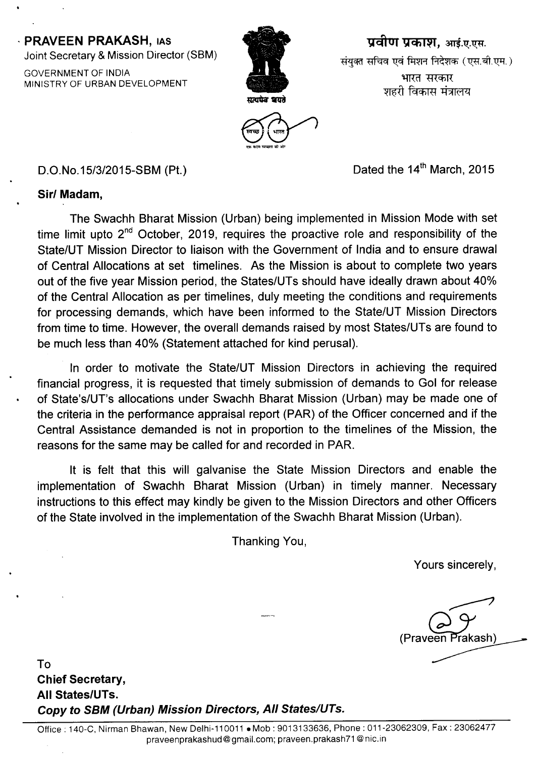## · PRAVEEN PRAKASH, lAS

Joint Secretary & Mission Director (SBM)

GOVERNMENT OF INDIA MINISTRY OF URBAN DEVELOPMENT



**प्रवीण प्रकाश, आई.ए.एस.** संयुक्त सचिव एवं मिशन निदेशक (एस.बी.एम.) भारत सरकार शहरी विकास मंत्रालय



D.O.No.15/3/2015-SBM (Pt.) D.O.No.15/3/2015-SBM (Pt.)

## Sirl Madam,

The Swachh Bharat Mission (Urban) being implemented in Mission Mode with set time limit upto  $2^{nd}$  October, 2019, requires the proactive role and responsibility of the State/UT Mission Director to liaison with the Government of India and to ensure drawal of Central Allocations at set timelines. As the Mission is about to complete two years out of the five year Mission period, the States/UTs should have ideally drawn about 40% of the Central Allocation as per timelines, duly meeting the conditions and requirements for processing demands, which have been informed to the State/UT Mission Directors from time to time. However, the overall demands raised by most States/UTs are found to be much less than 40% (Statement attached for kind perusal).

In order to motivate the State/UT Mission Directors in achieving the required financial progress, it is requested that timely submission of demands to Gol for release of State's/UT's allocations under Swachh Bharat Mission (Urban) may be made one of the criteria in the performance appraisal report (PAR) of the Officer concerned and if the Central Assistance demanded is not in proportion to the timelines of the Mission, the reasons for the same may be called for and recorded in PAR.

It is felt that this will galvanise the State Mission Directors and enable the implementation of Swachh Bharat Mission (Urban) in timely manner. Necessary instructions to this effect may kindly be given to the Mission Directors and other Officers of the State involved in the implementation of the Swachh Bharat Mission (Urban).

Thanking You,

Yours sincerely,

~  $(Pr$ aveen <sup>r</sup>rakash)

To Chief Secretary, All States/UTs. *Copy* to *SSM (Urban) Mission Directors, All States/UTs.*